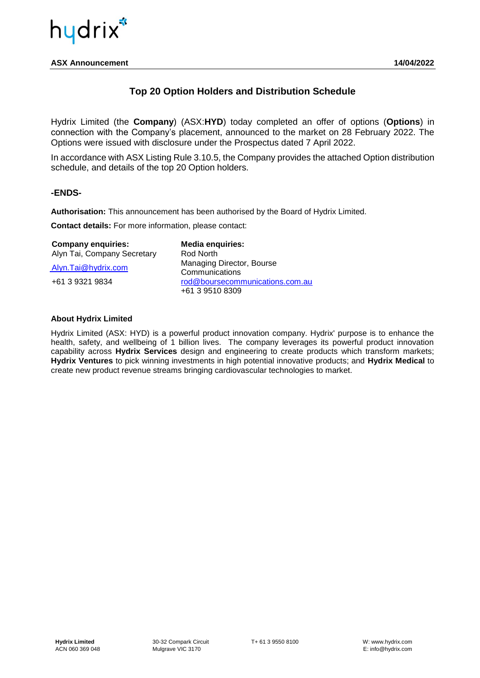

**ASX Announcement 14/04/2022**

### **Top 20 Option Holders and Distribution Schedule**

Hydrix Limited (the **Company**) (ASX:**HYD**) today completed an offer of options (**Options**) in connection with the Company's placement, announced to the market on 28 February 2022. The Options were issued with disclosure under the Prospectus dated 7 April 2022.

In accordance with ASX Listing Rule 3.10.5, the Company provides the attached Option distribution schedule, and details of the top 20 Option holders.

#### **-ENDS-**

**Authorisation:** This announcement has been authorised by the Board of Hydrix Limited.

**Contact details:** For more information, please contact:

| <b>Company enquiries:</b>   | <b>Media enquiries:</b>                            |
|-----------------------------|----------------------------------------------------|
| Alyn Tai, Company Secretary | Rod North                                          |
| Alyn.Tai@hydrix.com         | Managing Director, Bourse<br>Communications        |
| +61 3 9321 9834             | rod@boursecommunications.com.au<br>+61 3 9510 8309 |

#### **About Hydrix Limited**

Hydrix Limited (ASX: HYD) is a powerful product innovation company. Hydrix' purpose is to enhance the health, safety, and wellbeing of 1 billion lives. The company leverages its powerful product innovation capability across **Hydrix Services** design and engineering to create products which transform markets; **Hydrix Ventures** to pick winning investments in high potential innovative products; and **Hydrix Medical** to create new product revenue streams bringing cardiovascular technologies to market.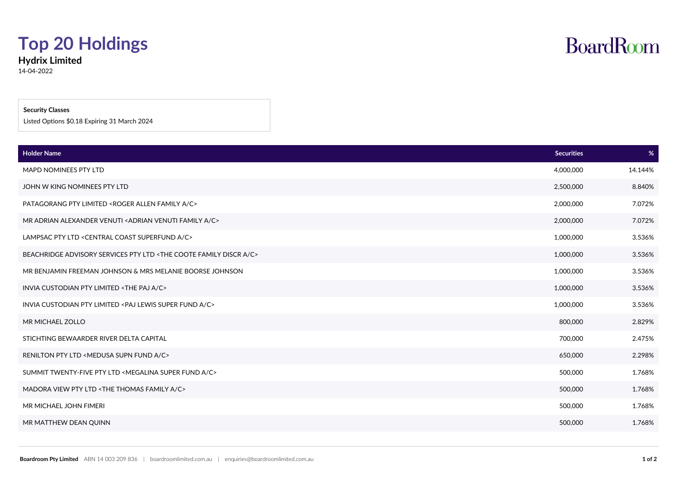## **Top 20 Holdings**

**Hydrix Limited** 14-04-2022

#### **Security Classes**

Listed Options \$0.18 Expiring 31 March 2024

| <b>Holder Name</b>                                                                     | <b>Securities</b> | $\%$    |
|----------------------------------------------------------------------------------------|-------------------|---------|
| <b>MAPD NOMINEES PTY LTD</b>                                                           | 4,000,000         | 14.144% |
| JOHN W KING NOMINEES PTY LTD                                                           | 2,500,000         | 8.840%  |
| PATAGORANG PTY LIMITED <roger a="" allen="" c="" family=""></roger>                    | 2,000,000         | 7.072%  |
| MR ADRIAN ALEXANDER VENUTI <adrian a="" c="" family="" venuti=""></adrian>             | 2,000,000         | 7.072%  |
| LAMPSAC PTY LTD <central a="" c="" coast="" superfund=""></central>                    | 1,000,000         | 3.536%  |
| BEACHRIDGE ADVISORY SERVICES PTY LTD <the a="" c="" coote="" discr="" family=""></the> | 1,000,000         | 3.536%  |
| MR BENJAMIN FREEMAN JOHNSON & MRS MELANIE BOORSE JOHNSON                               | 1,000,000         | 3.536%  |
| INVIA CUSTODIAN PTY LIMITED <the a="" c="" paj=""></the>                               | 1,000,000         | 3.536%  |
| INVIA CUSTODIAN PTY LIMITED <paj a="" c="" fund="" lewis="" super=""></paj>            | 1,000,000         | 3.536%  |
| MR MICHAEL ZOLLO                                                                       | 800,000           | 2.829%  |
| STICHTING BEWAARDER RIVER DELTA CAPITAL                                                | 700,000           | 2.475%  |
| RENILTON PTY LTD <medusa a="" c="" fund="" supn=""></medusa>                           | 650,000           | 2.298%  |
| SUMMIT TWENTY-FIVE PTY LTD <megalina a="" c="" fund="" super=""></megalina>            | 500,000           | 1.768%  |
| MADORA VIEW PTY LTD <the a="" c="" family="" thomas=""></the>                          | 500,000           | 1.768%  |
| MR MICHAEL JOHN FIMERI                                                                 | 500,000           | 1.768%  |
| MR MATTHEW DEAN QUINN                                                                  | 500,000           | 1.768%  |

**BoardRoom**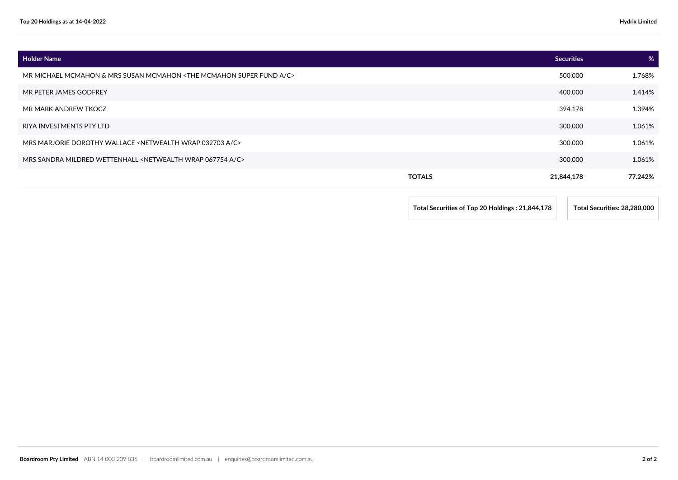| <b>Holder Name</b>                                                                       | <b>Securities</b> | %       |
|------------------------------------------------------------------------------------------|-------------------|---------|
| MR MICHAEL MCMAHON & MRS SUSAN MCMAHON <the a="" c="" fund="" mcmahon="" super=""></the> | 500,000           | 1.768%  |
| MR PETER JAMES GODFREY                                                                   | 400,000           | 1.414%  |
| MR MARK ANDREW TKOCZ                                                                     | 394,178           | 1.394%  |
| RIYA INVESTMENTS PTY LTD                                                                 | 300,000           | 1.061%  |
| MRS MARJORIE DOROTHY WALLACE <netwealth 032703="" a="" c="" wrap=""></netwealth>         | 300,000           | 1.061%  |
| MRS SANDRA MILDRED WETTENHALL <netwealth 067754="" a="" c="" wrap=""></netwealth>        | 300,000           | 1.061%  |
| <b>TOTALS</b>                                                                            | 21,844,178        | 77.242% |

**Total Securities of Top 20 Holdings : 21,844,178 Total Securities: 28,280,000**